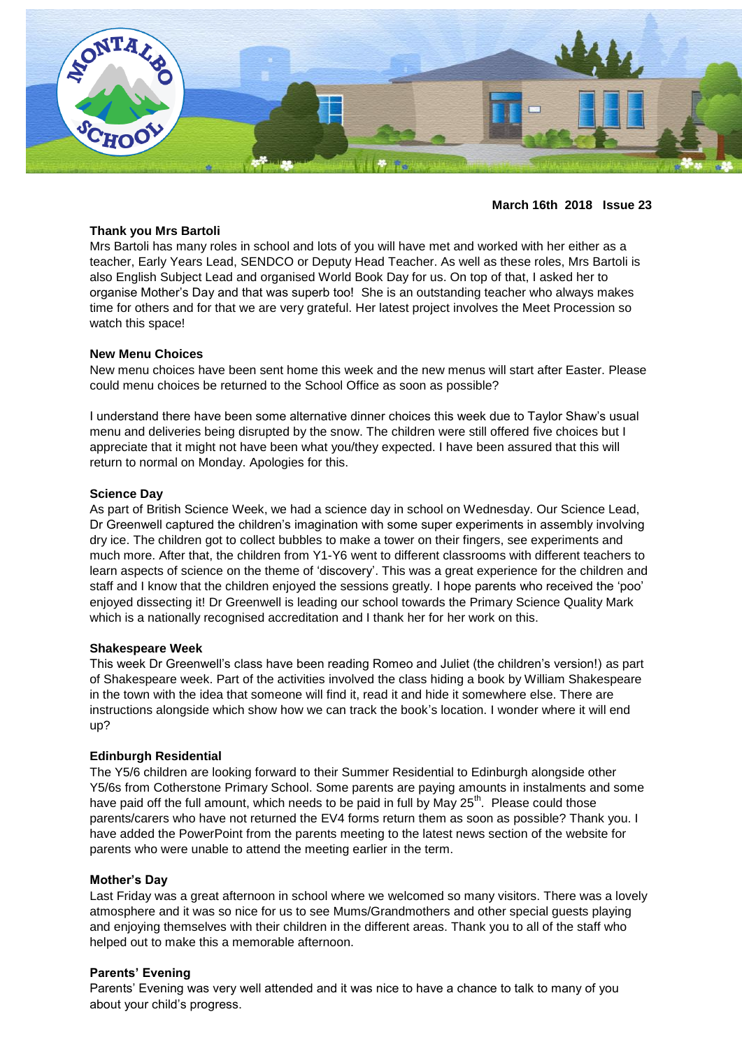

## **March 16th 2018 Issue 23**

#### **Thank you Mrs Bartoli**

Mrs Bartoli has many roles in school and lots of you will have met and worked with her either as a teacher, Early Years Lead, SENDCO or Deputy Head Teacher. As well as these roles, Mrs Bartoli is also English Subject Lead and organised World Book Day for us. On top of that, I asked her to organise Mother's Day and that was superb too! She is an outstanding teacher who always makes time for others and for that we are very grateful. Her latest project involves the Meet Procession so watch this space!

#### **New Menu Choices**

New menu choices have been sent home this week and the new menus will start after Easter. Please could menu choices be returned to the School Office as soon as possible?

I understand there have been some alternative dinner choices this week due to Taylor Shaw's usual menu and deliveries being disrupted by the snow. The children were still offered five choices but I appreciate that it might not have been what you/they expected. I have been assured that this will return to normal on Monday. Apologies for this.

#### **Science Day**

As part of British Science Week, we had a science day in school on Wednesday. Our Science Lead, Dr Greenwell captured the children's imagination with some super experiments in assembly involving dry ice. The children got to collect bubbles to make a tower on their fingers, see experiments and much more. After that, the children from Y1-Y6 went to different classrooms with different teachers to learn aspects of science on the theme of 'discovery'. This was a great experience for the children and staff and I know that the children enjoyed the sessions greatly. I hope parents who received the 'poo' enjoyed dissecting it! Dr Greenwell is leading our school towards the Primary Science Quality Mark which is a nationally recognised accreditation and I thank her for her work on this.

#### **Shakespeare Week**

This week Dr Greenwell's class have been reading Romeo and Juliet (the children's version!) as part of Shakespeare week. Part of the activities involved the class hiding a book by William Shakespeare in the town with the idea that someone will find it, read it and hide it somewhere else. There are instructions alongside which show how we can track the book's location. I wonder where it will end up?

## **Edinburgh Residential**

The Y5/6 children are looking forward to their Summer Residential to Edinburgh alongside other Y5/6s from Cotherstone Primary School. Some parents are paying amounts in instalments and some have paid off the full amount, which needs to be paid in full by May  $25<sup>th</sup>$ . Please could those parents/carers who have not returned the EV4 forms return them as soon as possible? Thank you. I have added the PowerPoint from the parents meeting to the latest news section of the website for parents who were unable to attend the meeting earlier in the term.

#### **Mother's Day**

Last Friday was a great afternoon in school where we welcomed so many visitors. There was a lovely atmosphere and it was so nice for us to see Mums/Grandmothers and other special guests playing and enjoying themselves with their children in the different areas. Thank you to all of the staff who helped out to make this a memorable afternoon.

## **Parents' Evening**

Parents' Evening was very well attended and it was nice to have a chance to talk to many of you about your child's progress.